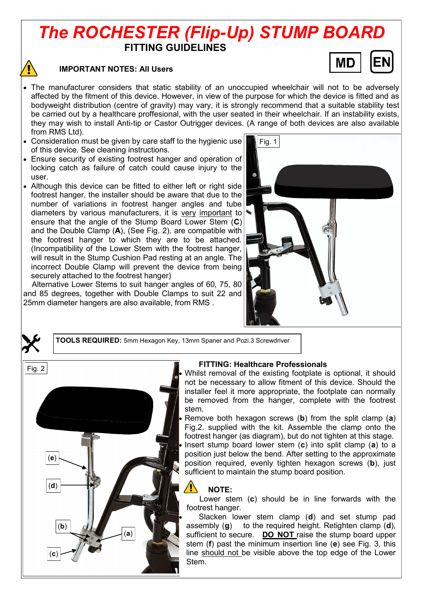# *The ROCHESTER (Flip-Up) STUMP BOARD* **FITTING GUIDELINES**



#### **IMPORTANT NOTES: All Users**



- The manufacturer considers that static stability of an unoccupied wheelchair will not to be adversely affected by the fitment of this device. However, in view of the purpose for which the device is fitted and as bodyweight distribution (centre of gravity) may vary, it is strongly recommend that a suitable stability test be carried out by a healthcare proffesional, with the user seated in their wheelchair. If an instability exists, they may wish to install Anti-tip or Castor Outrigger devices. (A range of both devices are also available from RMS Ltd).
- Consideration must be given by care staff to the hygienic use of this device. See cleaning instructions.
- Ensure security of existing footrest hanger and operation of locking catch as failure of catch could cause injury to the user.
- Although this device can be fitted to either left or right side footrest hanger, the installer should be aware that due to the number of variations in footrest hanger angles and tube diameters by various manufacturers, it is very important to ensure that the angle of the Stump Board Lower Stem (**C**) and the Double Clamp (**A**), (See Fig. 2), are compatible with the footrest hanger to which they are to be attached. (Incompatibility of the Lower Stem with the footrest hanger, will result in the Stump Cushion Pad resting at an angle. The incorrect Double Clamp will prevent the device from being securely attached to the footrest hanger)

 Alternative Lower Stems to suit hanger angles of 60, 75, 80 and 85 degrees, together with Double Clamps to suit 22 and 25mm diameter hangers are also available, from RMS .



**TOOLS REQUIRED:** 5mm Hexagon Key, 13mm Spaner and Pozi.3 Screwdriver



#### **FITTING: Healthcare Professionals**

 Whilst removal of the existing footplate is optional, it should not be necessary to allow fitment of this device. Should the installer feel it more appropriate, the footplate can normally be removed from the hanger, complete with the footrest stem.

 Remove both hexagon screws (**b**) from the split clamp (**a**) Fig.2. supplied with the kit. Assemble the clamp onto the footrest hanger (as diagram), but do not tighten at this stage. Insert stump board lower stem (**c**) into split clamp (**a**) to a position just below the bend. After setting to the approximate position required, evenly tighten hexagon screws (**b**), just sufficient to maintain the stump board position.

## **NOTE:**

Lower stem (**c**) should be in line forwards with the footrest hanger.

 Slacken lower stem clamp (**d**) and set stump pad assembly (**g**) to the required height. Retighten clamp (**d**), sufficient to secure. **DO NOT** raise the stump board upper stem (**f**) past the minimum insertion line (**e**) see Fig. 3, this line should not be visible above the top edge of the Lower Stem.